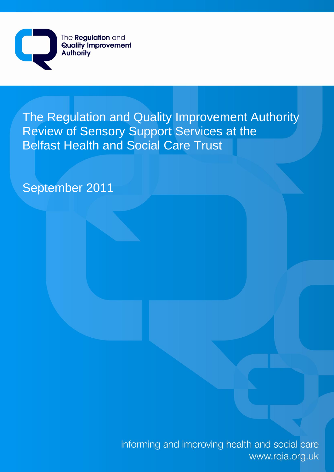

The Regulation and Quality Improvement Authority Review of Sensory Support Services at the Belfast Health and Social Care Trust

September 2011

informing and improving health and social care www.rqia.org.uk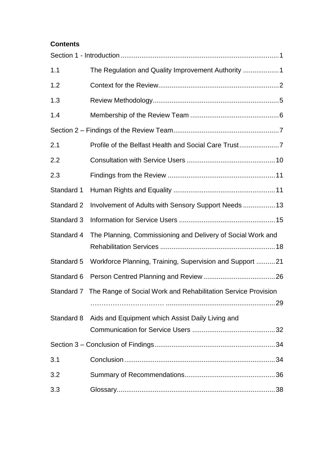# **Contents**

| 1.1        |                                                                          |
|------------|--------------------------------------------------------------------------|
| 1.2        |                                                                          |
| 1.3        |                                                                          |
| 1.4        |                                                                          |
|            |                                                                          |
| 2.1        | Profile of the Belfast Health and Social Care Trust                      |
| 2.2        |                                                                          |
| 2.3        |                                                                          |
| Standard 1 |                                                                          |
| Standard 2 | Involvement of Adults with Sensory Support Needs  13                     |
| Standard 3 |                                                                          |
| Standard 4 | The Planning, Commissioning and Delivery of Social Work and              |
| Standard 5 | Workforce Planning, Training, Supervision and Support 21                 |
| Standard 6 |                                                                          |
|            | Standard 7 The Range of Social Work and Rehabilitation Service Provision |
| Standard 8 | Aids and Equipment which Assist Daily Living and                         |
|            |                                                                          |
| 3.1        |                                                                          |
| 3.2        |                                                                          |
| 3.3        |                                                                          |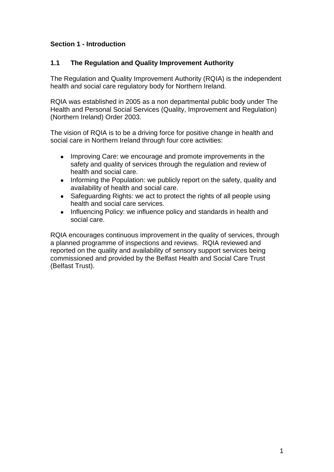# **Section 1 - Introduction**

# **1.1 The Regulation and Quality Improvement Authority**

The Regulation and Quality Improvement Authority (RQIA) is the independent health and social care regulatory body for Northern Ireland.

RQIA was established in 2005 as a non departmental public body under The Health and Personal Social Services (Quality, Improvement and Regulation) (Northern Ireland) Order 2003.

The vision of RQIA is to be a driving force for positive change in health and social care in Northern Ireland through four core activities:

- Improving Care: we encourage and promote improvements in the  $\bullet$ safety and quality of services through the regulation and review of health and social care.
- Informing the Population: we publicly report on the safety, quality and  $\bullet$ availability of health and social care.
- $\bullet$ Safeguarding Rights: we act to protect the rights of all people using health and social care services.
- Influencing Policy: we influence policy and standards in health and  $\bullet$ social care.

RQIA encourages continuous improvement in the quality of services, through a planned programme of inspections and reviews. RQIA reviewed and reported on the quality and availability of sensory support services being commissioned and provided by the Belfast Health and Social Care Trust (Belfast Trust).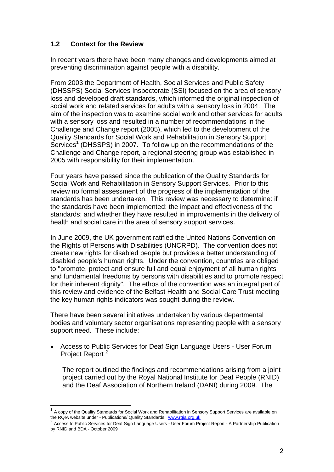# **1.2 Context for the Review**

In recent years there have been many changes and developments aimed at preventing discrimination against people with a disability.

From 2003 the Department of Health, Social Services and Public Safety (DHSSPS) Social Services Inspectorate (SSI) focused on the area of sensory loss and developed draft standards, which informed the original inspection of social work and related services for adults with a sensory loss in 2004. The aim of the inspection was to examine social work and other services for adults with a sensory loss and resulted in a number of recommendations in the Challenge and Change report (2005), which led to the development of the Quality Standards for Social Work and Rehabilitation in Sensory Support Services<sup>1</sup> (DHSSPS) in 2007. To follow up on the recommendations of the Challenge and Change report, a regional steering group was established in 2005 with responsibility for their implementation.

Four years have passed since the publication of the Quality Standards for Social Work and Rehabilitation in Sensory Support Services. Prior to this review no formal assessment of the progress of the implementation of the standards has been undertaken. This review was necessary to determine: if the standards have been implemented: the impact and effectiveness of the standards; and whether they have resulted in improvements in the delivery of health and social care in the area of sensory support services.

In June 2009, the UK government ratified the United Nations Convention on the Rights of Persons with Disabilities (UNCRPD). The convention does not create new rights for disabled people but provides a better understanding of disabled people's human rights. Under the convention, countries are obliged to "promote, protect and ensure full and equal enjoyment of all human rights and fundamental freedoms by persons with disabilities and to promote respect for their inherent dignity". The ethos of the convention was an integral part of this review and evidence of the Belfast Health and Social Care Trust meeting the key human rights indicators was sought during the review.

There have been several initiatives undertaken by various departmental bodies and voluntary sector organisations representing people with a sensory support need. These include:

Access to Public Services for Deaf Sign Language Users - User Forum Project Report<sup>2</sup>

The report outlined the findings and recommendations arising from a joint project carried out by the Royal National Institute for Deaf People (RNID) and the Deaf Association of Northern Ireland (DANI) during 2009. The

<sup>1</sup> A copy of the Quality Standards for Social Work and Rehabilitation in Sensory Support Services are available on the RQIA website under - Publications/ Quality Standards. [www.rqia.org.uk](http://www.rqia.org.uk/)<br>2. Assass to Public Camicas for Dasí Cime Language Usars. Usar Famus Dr

Access to Public Services for Deaf Sign Language Users - User Forum Project Report - A Partnership Publication by RNID and BDA - October 2009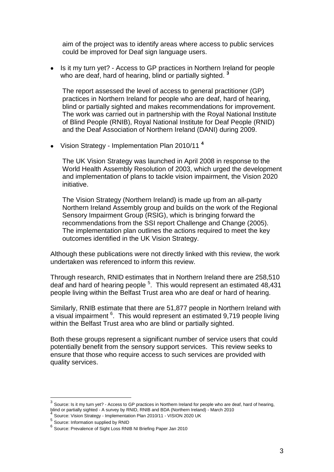aim of the project was to identify areas where access to public services could be improved for Deaf sign language users.

 $\bullet$ Is it my turn yet? - Access to GP practices in Northern Ireland for people who are deaf, hard of hearing, blind or partially sighted. **<sup>3</sup>**

The report assessed the level of access to general practitioner (GP) practices in Northern Ireland for people who are deaf, hard of hearing, blind or partially sighted and makes recommendations for improvement. The work was carried out in partnership with the Royal National Institute of Blind People (RNIB), Royal National Institute for Deaf People (RNID) and the Deaf Association of Northern Ireland (DANI) during 2009.

Vision Strategy - Implementation Plan 2010/11 **<sup>4</sup>**

The UK Vision Strategy was launched in April 2008 in response to the World Health Assembly Resolution of 2003, which urged the development and implementation of plans to tackle vision impairment, the Vision 2020 initiative.

The Vision Strategy (Northern Ireland) is made up from an all-party Northern Ireland Assembly group and builds on the work of the Regional Sensory Impairment Group (RSIG), which is bringing forward the recommendations from the SSI report Challenge and Change (2005). The implementation plan outlines the actions required to meet the key outcomes identified in the UK Vision Strategy.

Although these publications were not directly linked with this review, the work undertaken was referenced to inform this review.

Through research, RNID estimates that in Northern Ireland there are 258,510 deaf and hard of hearing people  $5$ . This would represent an estimated 48,431 people living within the Belfast Trust area who are deaf or hard of hearing.

Similarly, RNIB estimate that there are 51,877 people in Northern Ireland with a visual impairment <sup>6</sup>. This would represent an estimated 9,719 people living within the Belfast Trust area who are blind or partially sighted.

Both these groups represent a significant number of service users that could potentially benefit from the sensory support services. This review seeks to ensure that those who require access to such services are provided with quality services.

 $3$  Source: Is it my turn yet? - Access to GP practices in Northern Ireland for people who are deaf, hard of hearing, blind or partially sighted - A survey by RNID, RNIB and BDA (Northern Ireland) - March 2010<br>4 Oktober 16: San Oktober - Jacober 2010/10 Rha 2010/11 11/2001 2009 UK

Source: Vision Strategy - Implementation Plan 2010/11 - VISION 2020 UK

<sup>5</sup> Source: Information supplied by RNID

<sup>6</sup> Source: Prevalence of Sight Loss RNIB NI Briefing Paper Jan 2010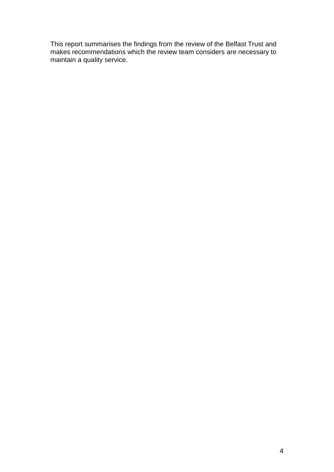This report summarises the findings from the review of the Belfast Trust and makes recommendations which the review team considers are necessary to maintain a quality service.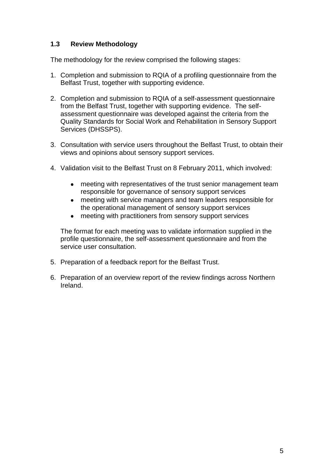# **1.3 Review Methodology**

The methodology for the review comprised the following stages:

- 1. Completion and submission to RQIA of a profiling questionnaire from the Belfast Trust, together with supporting evidence.
- 2. Completion and submission to RQIA of a self-assessment questionnaire from the Belfast Trust, together with supporting evidence. The selfassessment questionnaire was developed against the criteria from the Quality Standards for Social Work and Rehabilitation in Sensory Support Services (DHSSPS).
- 3. Consultation with service users throughout the Belfast Trust, to obtain their views and opinions about sensory support services.
- 4. Validation visit to the Belfast Trust on 8 February 2011, which involved:
	- meeting with representatives of the trust senior management team responsible for governance of sensory support services
	- meeting with service managers and team leaders responsible for the operational management of sensory support services
	- meeting with practitioners from sensory support services

The format for each meeting was to validate information supplied in the profile questionnaire, the self-assessment questionnaire and from the service user consultation.

- 5. Preparation of a feedback report for the Belfast Trust.
- 6. Preparation of an overview report of the review findings across Northern Ireland.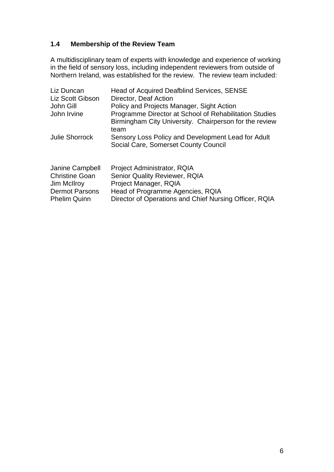# **1.4 Membership of the Review Team**

A multidisciplinary team of experts with knowledge and experience of working in the field of sensory loss, including independent reviewers from outside of Northern Ireland, was established for the review. The review team included:

| Liz Duncan<br>Liz Scott Gibson<br>John Gill<br>John Irvine                       | Head of Acquired Deafblind Services, SENSE<br>Director, Deaf Action<br>Policy and Projects Manager, Sight Action<br>Programme Director at School of Rehabilitation Studies<br>Birmingham City University. Chairperson for the review<br>team |
|----------------------------------------------------------------------------------|----------------------------------------------------------------------------------------------------------------------------------------------------------------------------------------------------------------------------------------------|
| <b>Julie Shorrock</b>                                                            | Sensory Loss Policy and Development Lead for Adult<br>Social Care, Somerset County Council                                                                                                                                                   |
| Janine Campbell<br><b>Christine Goan</b><br>Jim McIlroy<br><b>Dermot Parsons</b> | Project Administrator, RQIA<br><b>Senior Quality Reviewer, RQIA</b><br>Project Manager, RQIA<br>Head of Programme Agencies, RQIA                                                                                                             |

Phelim Quinn Director of Operations and Chief Nursing Officer, RQIA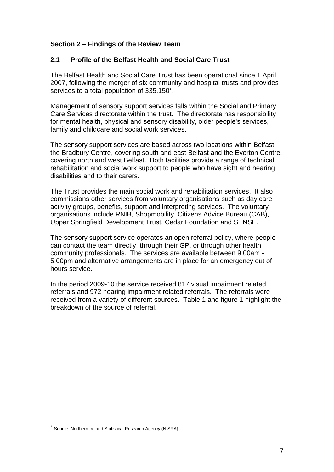# **Section 2 – Findings of the Review Team**

## **2.1 Profile of the Belfast Health and Social Care Trust**

The Belfast Health and Social Care Trust has been operational since 1 April 2007, following the merger of six community and hospital trusts and provides services to a total population of  $335,150^7$ .

Management of sensory support services falls within the Social and Primary Care Services directorate within the trust. The directorate has responsibility for mental health, physical and sensory disability, older people's services, family and childcare and social work services.

The sensory support services are based across two locations within Belfast: the Bradbury Centre, covering south and east Belfast and the Everton Centre, covering north and west Belfast. Both facilities provide a range of technical, rehabilitation and social work support to people who have sight and hearing disabilities and to their carers.

The Trust provides the main social work and rehabilitation services. It also commissions other services from voluntary organisations such as day care activity groups, benefits, support and interpreting services. The voluntary organisations include RNIB, Shopmobility, Citizens Advice Bureau (CAB), Upper Springfield Development Trust, Cedar Foundation and SENSE.

The sensory support service operates an open referral policy, where people can contact the team directly, through their GP, or through other health community professionals. The services are available between 9.00am - 5.00pm and alternative arrangements are in place for an emergency out of hours service.

In the period 2009-10 the service received 817 visual impairment related referrals and 972 hearing impairment related referrals. The referrals were received from a variety of different sources. Table 1 and figure 1 highlight the breakdown of the source of referral.

 7 Source: Northern Ireland Statistical Research Agency (NISRA)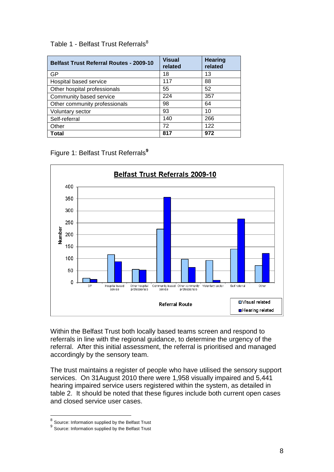# Table 1 - Belfast Trust Referrals<sup>8</sup>

| <b>Belfast Trust Referral Routes - 2009-10</b> | <b>Visual</b><br>related | <b>Hearing</b><br>related |
|------------------------------------------------|--------------------------|---------------------------|
| GP                                             | 18                       | 13                        |
| Hospital based service                         | 117                      | 88                        |
| Other hospital professionals                   | 55                       | 52                        |
| Community based service                        | 224                      | 357                       |
| Other community professionals                  | 98                       | 64                        |
| Voluntary sector                               | 93                       | 10                        |
| Self-referral                                  | 140                      | 266                       |
| Other                                          | 72                       | 122                       |
| Total                                          | 817                      | 972                       |

Figure 1: Belfast Trust Referrals**<sup>9</sup>**



Within the Belfast Trust both locally based teams screen and respond to referrals in line with the regional guidance, to determine the urgency of the referral. After this initial assessment, the referral is prioritised and managed accordingly by the sensory team.

The trust maintains a register of people who have utilised the sensory support services. On 31August 2010 there were 1,958 visually impaired and 5,441 hearing impaired service users registered within the system, as detailed in table 2. It should be noted that these figures include both current open cases and closed service user cases.

**<sup>8</sup>**<br><sup>8</sup> Source: Information supplied by the Belfast Trust

<sup>&</sup>lt;sup>9</sup> Source: Information supplied by the Belfast Trust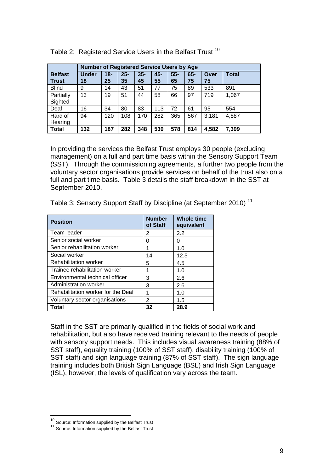|                                | <b>Number of Registered Service Users by Age</b> |              |              |              |           |              |              |            |              |
|--------------------------------|--------------------------------------------------|--------------|--------------|--------------|-----------|--------------|--------------|------------|--------------|
| <b>Belfast</b><br><b>Trust</b> | <b>Under</b><br>18                               | $18 -$<br>25 | $25 -$<br>35 | $35 -$<br>45 | 45-<br>55 | $55 -$<br>65 | $65 -$<br>75 | Over<br>75 | <b>Total</b> |
| <b>Blind</b>                   | 9                                                | 14           | 43           | 51           | 77        | 75           | 89           | 533        | 891          |
| Partially<br>Sighted           | 13                                               | 19           | 51           | 44           | 58        | 66           | 97           | 719        | 1,067        |
| Deaf                           | 16                                               | 34           | 80           | 83           | 113       | 72           | 61           | 95         | 554          |
| Hard of<br>Hearing             | 94                                               | 120          | 108          | 170          | 282       | 365          | 567          | 3,181      | 4,887        |
| <b>Total</b>                   | 132                                              | 187          | 282          | 348          | 530       | 578          | 814          | 4,582      | 7,399        |

Table 2: Registered Service Users in the Belfast Trust 10

In providing the services the Belfast Trust employs 30 people (excluding management) on a full and part time basis within the Sensory Support Team (SST). Through the commissioning agreements, a further two people from the voluntary sector organisations provide services on behalf of the trust also on a full and part time basis. Table 3 details the staff breakdown in the SST at September 2010.

Table 3: Sensory Support Staff by Discipline (at September 2010)<sup>11</sup>

| <b>Position</b>                    | <b>Number</b><br>of Staff | <b>Whole time</b><br>equivalent |
|------------------------------------|---------------------------|---------------------------------|
| Team leader                        | 2                         | 2.2                             |
| Senior social worker               | 0                         | O                               |
| Senior rehabilitation worker       |                           | 1.0                             |
| Social worker                      | 14                        | 12.5                            |
| <b>Rehabilitation worker</b>       | 5                         | 4.5                             |
| Trainee rehabilitation worker      | 1                         | 1.0                             |
| Environmental technical officer    | 3                         | 2.6                             |
| Administration worker              | 3                         | 2.6                             |
| Rehabilitation worker for the Deaf | 1                         | 1.0                             |
| Voluntary sector organisations     | 2                         | 1.5                             |
| Total                              | 32                        | 28.9                            |

Staff in the SST are primarily qualified in the fields of social work and rehabilitation, but also have received training relevant to the needs of people with sensory support needs. This includes visual awareness training (88% of SST staff), equality training (100% of SST staff), disability training (100% of SST staff) and sign language training (87% of SST staff). The sign language training includes both British Sign Language (BSL) and Irish Sign Language (ISL), however, the levels of qualification vary across the team.

<sup>&</sup>lt;sup>10</sup> Source: Information supplied by the Belfast Trust

<sup>&</sup>lt;sup>11</sup> Source: Information supplied by the Belfast Trust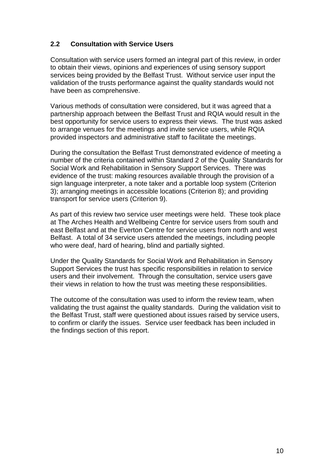# **2.2 Consultation with Service Users**

Consultation with service users formed an integral part of this review, in order to obtain their views, opinions and experiences of using sensory support services being provided by the Belfast Trust. Without service user input the validation of the trusts performance against the quality standards would not have been as comprehensive.

Various methods of consultation were considered, but it was agreed that a partnership approach between the Belfast Trust and RQIA would result in the best opportunity for service users to express their views. The trust was asked to arrange venues for the meetings and invite service users, while RQIA provided inspectors and administrative staff to facilitate the meetings.

During the consultation the Belfast Trust demonstrated evidence of meeting a number of the criteria contained within Standard 2 of the Quality Standards for Social Work and Rehabilitation in Sensory Support Services. There was evidence of the trust: making resources available through the provision of a sign language interpreter, a note taker and a portable loop system (Criterion 3); arranging meetings in accessible locations (Criterion 8); and providing transport for service users (Criterion 9).

As part of this review two service user meetings were held. These took place at The Arches Health and Wellbeing Centre for service users from south and east Belfast and at the Everton Centre for service users from north and west Belfast. A total of 34 service users attended the meetings, including people who were deaf, hard of hearing, blind and partially sighted.

Under the Quality Standards for Social Work and Rehabilitation in Sensory Support Services the trust has specific responsibilities in relation to service users and their involvement. Through the consultation, service users gave their views in relation to how the trust was meeting these responsibilities.

The outcome of the consultation was used to inform the review team, when validating the trust against the quality standards. During the validation visit to the Belfast Trust, staff were questioned about issues raised by service users, to confirm or clarify the issues. Service user feedback has been included in the findings section of this report.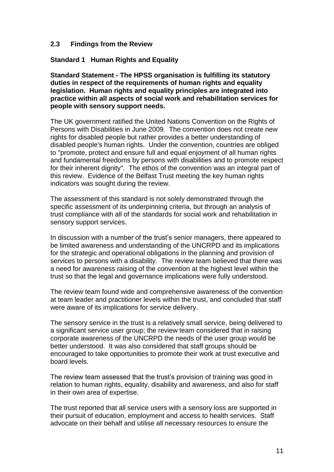### **2.3 Findings from the Review**

**Standard 1 Human Rights and Equality**

**Standard Statement - The HPSS organisation is fulfilling its statutory duties in respect of the requirements of human rights and equality legislation. Human rights and equality principles are integrated into practice within all aspects of social work and rehabilitation services for people with sensory support needs.**

The UK government ratified the United Nations Convention on the Rights of Persons with Disabilities in June 2009. The convention does not create new rights for disabled people but rather provides a better understanding of disabled people's human rights. Under the convention, countries are obliged to "promote, protect and ensure full and equal enjoyment of all human rights and fundamental freedoms by persons with disabilities and to promote respect for their inherent dignity". The ethos of the convention was an integral part of this review. Evidence of the Belfast Trust meeting the key human rights indicators was sought during the review.

The assessment of this standard is not solely demonstrated through the specific assessment of its underpinning criteria, but through an analysis of trust compliance with all of the standards for social work and rehabilitation in sensory support services.

In discussion with a number of the trust's senior managers, there appeared to be limited awareness and understanding of the UNCRPD and its implications for the strategic and operational obligations in the planning and provision of services to persons with a disability. The review team believed that there was a need for awareness raising of the convention at the highest level within the trust so that the legal and governance implications were fully understood.

The review team found wide and comprehensive awareness of the convention at team leader and practitioner levels within the trust, and concluded that staff were aware of its implications for service delivery.

The sensory service in the trust is a relatively small service, being delivered to a significant service user group; the review team considered that in raising corporate awareness of the UNCRPD the needs of the user group would be better understood. It was also considered that staff groups should be encouraged to take opportunities to promote their work at trust executive and board levels.

The review team assessed that the trust's provision of training was good in relation to human rights, equality, disability and awareness, and also for staff in their own area of expertise.

The trust reported that all service users with a sensory loss are supported in their pursuit of education, employment and access to health services. Staff advocate on their behalf and utilise all necessary resources to ensure the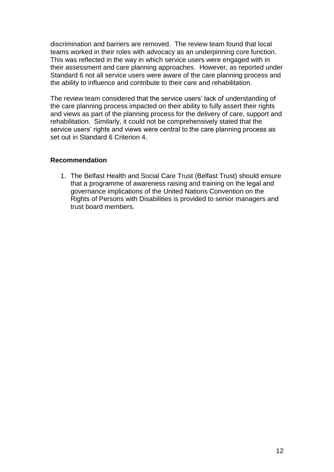discrimination and barriers are removed. The review team found that local teams worked in their roles with advocacy as an underpinning core function. This was reflected in the way in which service users were engaged with in their assessment and care planning approaches. However, as reported under Standard 6 not all service users were aware of the care planning process and the ability to influence and contribute to their care and rehabilitation.

The review team considered that the service users' lack of understanding of the care planning process impacted on their ability to fully assert their rights and views as part of the planning process for the delivery of care, support and rehabilitation. Similarly, it could not be comprehensively stated that the service users' rights and views were central to the care planning process as set out in Standard 6 Criterion 4.

### **Recommendation**

1. The Belfast Health and Social Care Trust (Belfast Trust) should ensure that a programme of awareness raising and training on the legal and governance implications of the United Nations Convention on the Rights of Persons with Disabilities is provided to senior managers and trust board members.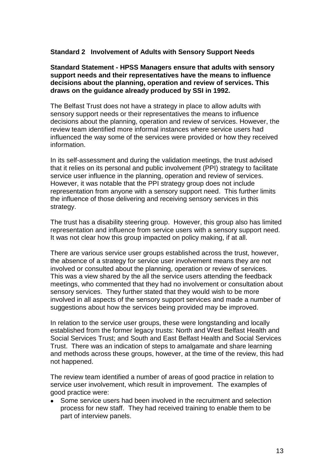### **Standard 2 Involvement of Adults with Sensory Support Needs**

#### **Standard Statement - HPSS Managers ensure that adults with sensory support needs and their representatives have the means to influence decisions about the planning, operation and review of services. This draws on the guidance already produced by SSI in 1992.**

The Belfast Trust does not have a strategy in place to allow adults with sensory support needs or their representatives the means to influence decisions about the planning, operation and review of services. However, the review team identified more informal instances where service users had influenced the way some of the services were provided or how they received information.

In its self-assessment and during the validation meetings, the trust advised that it relies on its personal and public involvement (PPI) strategy to facilitate service user influence in the planning, operation and review of services. However, it was notable that the PPI strategy group does not include representation from anyone with a sensory support need. This further limits the influence of those delivering and receiving sensory services in this strategy.

The trust has a disability steering group. However, this group also has limited representation and influence from service users with a sensory support need. It was not clear how this group impacted on policy making, if at all.

There are various service user groups established across the trust, however, the absence of a strategy for service user involvement means they are not involved or consulted about the planning, operation or review of services. This was a view shared by the all the service users attending the feedback meetings, who commented that they had no involvement or consultation about sensory services. They further stated that they would wish to be more involved in all aspects of the sensory support services and made a number of suggestions about how the services being provided may be improved.

In relation to the service user groups, these were longstanding and locally established from the former legacy trusts: North and West Belfast Health and Social Services Trust; and South and East Belfast Health and Social Services Trust. There was an indication of steps to amalgamate and share learning and methods across these groups, however, at the time of the review, this had not happened.

The review team identified a number of areas of good practice in relation to service user involvement, which result in improvement. The examples of good practice were:

 $\bullet$ Some service users had been involved in the recruitment and selection process for new staff. They had received training to enable them to be part of interview panels.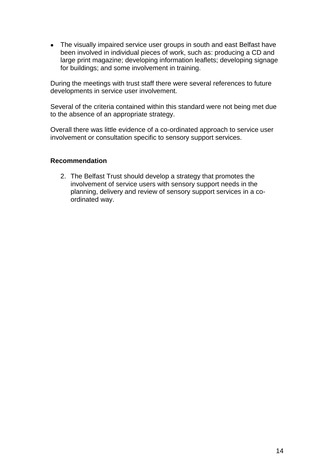• The visually impaired service user groups in south and east Belfast have been involved in individual pieces of work, such as: producing a CD and large print magazine; developing information leaflets; developing signage for buildings; and some involvement in training.

During the meetings with trust staff there were several references to future developments in service user involvement.

Several of the criteria contained within this standard were not being met due to the absence of an appropriate strategy.

Overall there was little evidence of a co-ordinated approach to service user involvement or consultation specific to sensory support services.

#### **Recommendation**

2. The Belfast Trust should develop a strategy that promotes the involvement of service users with sensory support needs in the planning, delivery and review of sensory support services in a coordinated way.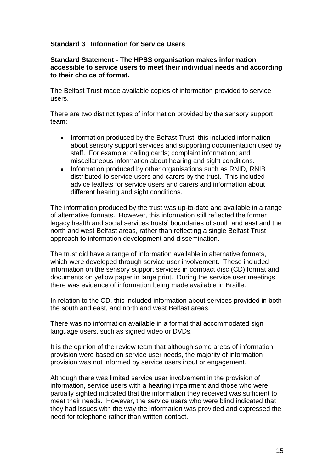# **Standard 3 Information for Service Users**

#### **Standard Statement - The HPSS organisation makes information accessible to service users to meet their individual needs and according to their choice of format.**

The Belfast Trust made available copies of information provided to service users.

There are two distinct types of information provided by the sensory support team:

- Information produced by the Belfast Trust: this included information  $\bullet$ about sensory support services and supporting documentation used by staff. For example; calling cards; complaint information; and miscellaneous information about hearing and sight conditions.
- $\bullet$ Information produced by other organisations such as RNID, RNIB distributed to service users and carers by the trust. This included advice leaflets for service users and carers and information about different hearing and sight conditions.

The information produced by the trust was up-to-date and available in a range of alternative formats. However, this information still reflected the former legacy health and social services trusts' boundaries of south and east and the north and west Belfast areas, rather than reflecting a single Belfast Trust approach to information development and dissemination.

The trust did have a range of information available in alternative formats, which were developed through service user involvement. These included information on the sensory support services in compact disc (CD) format and documents on yellow paper in large print. During the service user meetings there was evidence of information being made available in Braille.

In relation to the CD, this included information about services provided in both the south and east, and north and west Belfast areas.

There was no information available in a format that accommodated sign language users, such as signed video or DVDs.

It is the opinion of the review team that although some areas of information provision were based on service user needs, the majority of information provision was not informed by service users input or engagement.

Although there was limited service user involvement in the provision of information, service users with a hearing impairment and those who were partially sighted indicated that the information they received was sufficient to meet their needs. However, the service users who were blind indicated that they had issues with the way the information was provided and expressed the need for telephone rather than written contact.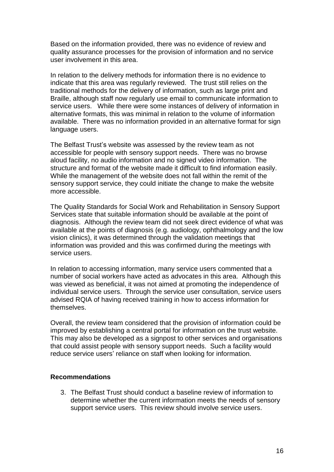Based on the information provided, there was no evidence of review and quality assurance processes for the provision of information and no service user involvement in this area.

In relation to the delivery methods for information there is no evidence to indicate that this area was regularly reviewed. The trust still relies on the traditional methods for the delivery of information, such as large print and Braille, although staff now regularly use email to communicate information to service users. While there were some instances of delivery of information in alternative formats, this was minimal in relation to the volume of information available. There was no information provided in an alternative format for sign language users.

The Belfast Trust's website was assessed by the review team as not accessible for people with sensory support needs. There was no browse aloud facility, no audio information and no signed video information. The structure and format of the website made it difficult to find information easily. While the management of the website does not fall within the remit of the sensory support service, they could initiate the change to make the website more accessible.

The Quality Standards for Social Work and Rehabilitation in Sensory Support Services state that suitable information should be available at the point of diagnosis. Although the review team did not seek direct evidence of what was available at the points of diagnosis (e.g. audiology, ophthalmology and the low vision clinics), it was determined through the validation meetings that information was provided and this was confirmed during the meetings with service users.

In relation to accessing information, many service users commented that a number of social workers have acted as advocates in this area. Although this was viewed as beneficial, it was not aimed at promoting the independence of individual service users. Through the service user consultation, service users advised RQIA of having received training in how to access information for themselves.

Overall, the review team considered that the provision of information could be improved by establishing a central portal for information on the trust website. This may also be developed as a signpost to other services and organisations that could assist people with sensory support needs. Such a facility would reduce service users' reliance on staff when looking for information.

#### **Recommendations**

3. The Belfast Trust should conduct a baseline review of information to determine whether the current information meets the needs of sensory support service users. This review should involve service users.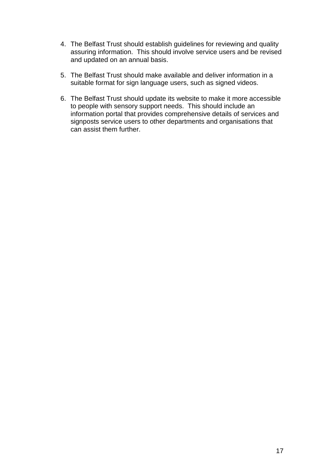- 4. The Belfast Trust should establish guidelines for reviewing and quality assuring information. This should involve service users and be revised and updated on an annual basis.
- 5. The Belfast Trust should make available and deliver information in a suitable format for sign language users, such as signed videos.
- 6. The Belfast Trust should update its website to make it more accessible to people with sensory support needs. This should include an information portal that provides comprehensive details of services and signposts service users to other departments and organisations that can assist them further.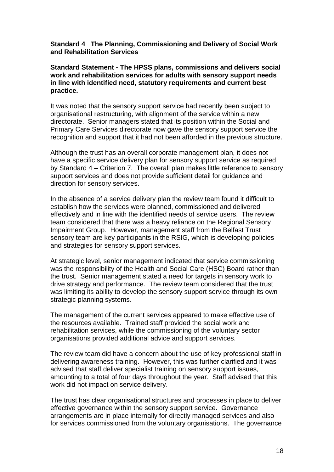#### **Standard 4 The Planning, Commissioning and Delivery of Social Work and Rehabilitation Services**

### **Standard Statement - The HPSS plans, commissions and delivers social work and rehabilitation services for adults with sensory support needs in line with identified need, statutory requirements and current best practice.**

It was noted that the sensory support service had recently been subject to organisational restructuring, with alignment of the service within a new directorate. Senior managers stated that its position within the Social and Primary Care Services directorate now gave the sensory support service the recognition and support that it had not been afforded in the previous structure.

Although the trust has an overall corporate management plan, it does not have a specific service delivery plan for sensory support service as required by Standard 4 – Criterion 7. The overall plan makes little reference to sensory support services and does not provide sufficient detail for guidance and direction for sensory services.

In the absence of a service delivery plan the review team found it difficult to establish how the services were planned, commissioned and delivered effectively and in line with the identified needs of service users. The review team considered that there was a heavy reliance on the Regional Sensory Impairment Group. However, management staff from the Belfast Trust sensory team are key participants in the RSIG, which is developing policies and strategies for sensory support services.

At strategic level, senior management indicated that service commissioning was the responsibility of the Health and Social Care (HSC) Board rather than the trust. Senior management stated a need for targets in sensory work to drive strategy and performance. The review team considered that the trust was limiting its ability to develop the sensory support service through its own strategic planning systems.

The management of the current services appeared to make effective use of the resources available. Trained staff provided the social work and rehabilitation services, while the commissioning of the voluntary sector organisations provided additional advice and support services.

The review team did have a concern about the use of key professional staff in delivering awareness training. However, this was further clarified and it was advised that staff deliver specialist training on sensory support issues, amounting to a total of four days throughout the year. Staff advised that this work did not impact on service delivery.

The trust has clear organisational structures and processes in place to deliver effective governance within the sensory support service. Governance arrangements are in place internally for directly managed services and also for services commissioned from the voluntary organisations. The governance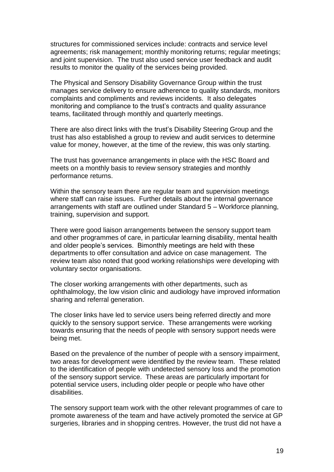structures for commissioned services include: contracts and service level agreements; risk management; monthly monitoring returns; regular meetings; and joint supervision. The trust also used service user feedback and audit results to monitor the quality of the services being provided.

The Physical and Sensory Disability Governance Group within the trust manages service delivery to ensure adherence to quality standards, monitors complaints and compliments and reviews incidents. It also delegates monitoring and compliance to the trust's contracts and quality assurance teams, facilitated through monthly and quarterly meetings.

There are also direct links with the trust's Disability Steering Group and the trust has also established a group to review and audit services to determine value for money, however, at the time of the review, this was only starting.

The trust has governance arrangements in place with the HSC Board and meets on a monthly basis to review sensory strategies and monthly performance returns.

Within the sensory team there are regular team and supervision meetings where staff can raise issues. Further details about the internal governance arrangements with staff are outlined under Standard 5 – Workforce planning, training, supervision and support.

There were good liaison arrangements between the sensory support team and other programmes of care, in particular learning disability, mental health and older people's services. Bimonthly meetings are held with these departments to offer consultation and advice on case management. The review team also noted that good working relationships were developing with voluntary sector organisations.

The closer working arrangements with other departments, such as ophthalmology, the low vision clinic and audiology have improved information sharing and referral generation.

The closer links have led to service users being referred directly and more quickly to the sensory support service. These arrangements were working towards ensuring that the needs of people with sensory support needs were being met.

Based on the prevalence of the number of people with a sensory impairment, two areas for development were identified by the review team. These related to the identification of people with undetected sensory loss and the promotion of the sensory support service. These areas are particularly important for potential service users, including older people or people who have other disabilities.

The sensory support team work with the other relevant programmes of care to promote awareness of the team and have actively promoted the service at GP surgeries, libraries and in shopping centres. However, the trust did not have a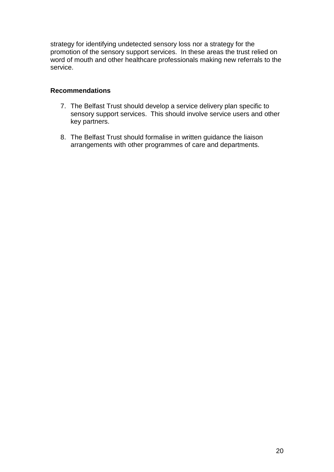strategy for identifying undetected sensory loss nor a strategy for the promotion of the sensory support services. In these areas the trust relied on word of mouth and other healthcare professionals making new referrals to the service.

### **Recommendations**

- 7. The Belfast Trust should develop a service delivery plan specific to sensory support services. This should involve service users and other key partners.
- 8. The Belfast Trust should formalise in written guidance the liaison arrangements with other programmes of care and departments.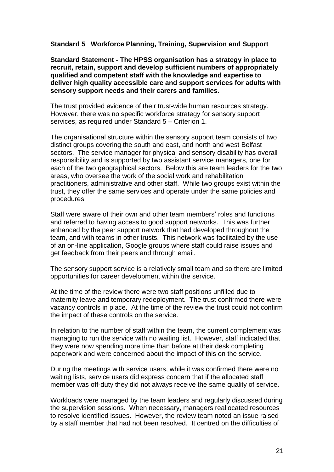### **Standard 5 Workforce Planning, Training, Supervision and Support**

**Standard Statement - The HPSS organisation has a strategy in place to recruit, retain, support and develop sufficient numbers of appropriately qualified and competent staff with the knowledge and expertise to deliver high quality accessible care and support services for adults with sensory support needs and their carers and families.**

The trust provided evidence of their trust-wide human resources strategy. However, there was no specific workforce strategy for sensory support services, as required under Standard 5 – Criterion 1.

The organisational structure within the sensory support team consists of two distinct groups covering the south and east, and north and west Belfast sectors. The service manager for physical and sensory disability has overall responsibility and is supported by two assistant service managers, one for each of the two geographical sectors. Below this are team leaders for the two areas, who oversee the work of the social work and rehabilitation practitioners, administrative and other staff. While two groups exist within the trust, they offer the same services and operate under the same policies and procedures.

Staff were aware of their own and other team members' roles and functions and referred to having access to good support networks. This was further enhanced by the peer support network that had developed throughout the team, and with teams in other trusts. This network was facilitated by the use of an on-line application, Google groups where staff could raise issues and get feedback from their peers and through email.

The sensory support service is a relatively small team and so there are limited opportunities for career development within the service.

At the time of the review there were two staff positions unfilled due to maternity leave and temporary redeployment. The trust confirmed there were vacancy controls in place. At the time of the review the trust could not confirm the impact of these controls on the service.

In relation to the number of staff within the team, the current complement was managing to run the service with no waiting list. However, staff indicated that they were now spending more time than before at their desk completing paperwork and were concerned about the impact of this on the service.

During the meetings with service users, while it was confirmed there were no waiting lists, service users did express concern that if the allocated staff member was off-duty they did not always receive the same quality of service.

Workloads were managed by the team leaders and regularly discussed during the supervision sessions. When necessary, managers reallocated resources to resolve identified issues. However, the review team noted an issue raised by a staff member that had not been resolved. It centred on the difficulties of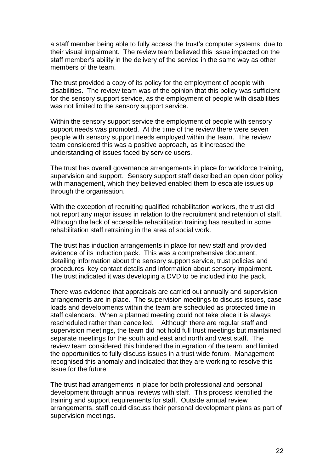a staff member being able to fully access the trust's computer systems, due to their visual impairment. The review team believed this issue impacted on the staff member's ability in the delivery of the service in the same way as other members of the team.

The trust provided a copy of its policy for the employment of people with disabilities. The review team was of the opinion that this policy was sufficient for the sensory support service, as the employment of people with disabilities was not limited to the sensory support service.

Within the sensory support service the employment of people with sensory support needs was promoted. At the time of the review there were seven people with sensory support needs employed within the team. The review team considered this was a positive approach, as it increased the understanding of issues faced by service users.

The trust has overall governance arrangements in place for workforce training, supervision and support. Sensory support staff described an open door policy with management, which they believed enabled them to escalate issues up through the organisation.

With the exception of recruiting qualified rehabilitation workers, the trust did not report any major issues in relation to the recruitment and retention of staff. Although the lack of accessible rehabilitation training has resulted in some rehabilitation staff retraining in the area of social work.

The trust has induction arrangements in place for new staff and provided evidence of its induction pack. This was a comprehensive document, detailing information about the sensory support service, trust policies and procedures, key contact details and information about sensory impairment. The trust indicated it was developing a DVD to be included into the pack.

There was evidence that appraisals are carried out annually and supervision arrangements are in place. The supervision meetings to discuss issues, case loads and developments within the team are scheduled as protected time in staff calendars. When a planned meeting could not take place it is always rescheduled rather than cancelled. Although there are regular staff and supervision meetings, the team did not hold full trust meetings but maintained separate meetings for the south and east and north and west staff. The review team considered this hindered the integration of the team, and limited the opportunities to fully discuss issues in a trust wide forum. Management recognised this anomaly and indicated that they are working to resolve this issue for the future.

The trust had arrangements in place for both professional and personal development through annual reviews with staff. This process identified the training and support requirements for staff. Outside annual review arrangements, staff could discuss their personal development plans as part of supervision meetings.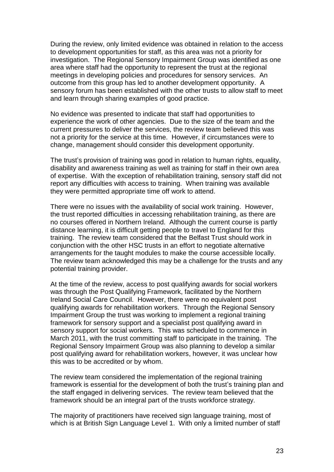During the review, only limited evidence was obtained in relation to the access to development opportunities for staff, as this area was not a priority for investigation. The Regional Sensory Impairment Group was identified as one area where staff had the opportunity to represent the trust at the regional meetings in developing policies and procedures for sensory services. An outcome from this group has led to another development opportunity. A sensory forum has been established with the other trusts to allow staff to meet and learn through sharing examples of good practice.

No evidence was presented to indicate that staff had opportunities to experience the work of other agencies. Due to the size of the team and the current pressures to deliver the services, the review team believed this was not a priority for the service at this time. However, if circumstances were to change, management should consider this development opportunity.

The trust's provision of training was good in relation to human rights, equality, disability and awareness training as well as training for staff in their own area of expertise. With the exception of rehabilitation training, sensory staff did not report any difficulties with access to training. When training was available they were permitted appropriate time off work to attend.

There were no issues with the availability of social work training. However, the trust reported difficulties in accessing rehabilitation training, as there are no courses offered in Northern Ireland. Although the current course is partly distance learning, it is difficult getting people to travel to England for this training. The review team considered that the Belfast Trust should work in conjunction with the other HSC trusts in an effort to negotiate alternative arrangements for the taught modules to make the course accessible locally. The review team acknowledged this may be a challenge for the trusts and any potential training provider.

At the time of the review, access to post qualifying awards for social workers was through the Post Qualifying Framework, facilitated by the Northern Ireland Social Care Council. However, there were no equivalent post qualifying awards for rehabilitation workers. Through the Regional Sensory Impairment Group the trust was working to implement a regional training framework for sensory support and a specialist post qualifying award in sensory support for social workers. This was scheduled to commence in March 2011, with the trust committing staff to participate in the training. The Regional Sensory Impairment Group was also planning to develop a similar post qualifying award for rehabilitation workers, however, it was unclear how this was to be accredited or by whom.

The review team considered the implementation of the regional training framework is essential for the development of both the trust's training plan and the staff engaged in delivering services. The review team believed that the framework should be an integral part of the trusts workforce strategy.

The majority of practitioners have received sign language training, most of which is at British Sign Language Level 1. With only a limited number of staff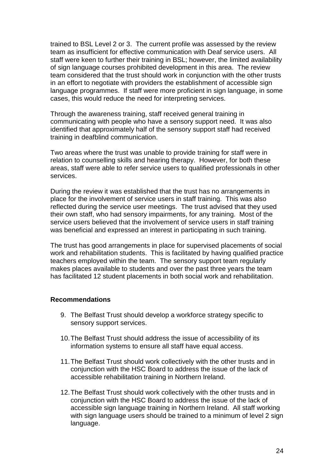trained to BSL Level 2 or 3. The current profile was assessed by the review team as insufficient for effective communication with Deaf service users. All staff were keen to further their training in BSL; however, the limited availability of sign language courses prohibited development in this area. The review team considered that the trust should work in conjunction with the other trusts in an effort to negotiate with providers the establishment of accessible sign language programmes. If staff were more proficient in sign language, in some cases, this would reduce the need for interpreting services.

Through the awareness training, staff received general training in communicating with people who have a sensory support need. It was also identified that approximately half of the sensory support staff had received training in deafblind communication.

Two areas where the trust was unable to provide training for staff were in relation to counselling skills and hearing therapy. However, for both these areas, staff were able to refer service users to qualified professionals in other services.

During the review it was established that the trust has no arrangements in place for the involvement of service users in staff training. This was also reflected during the service user meetings. The trust advised that they used their own staff, who had sensory impairments, for any training. Most of the service users believed that the involvement of service users in staff training was beneficial and expressed an interest in participating in such training.

The trust has good arrangements in place for supervised placements of social work and rehabilitation students. This is facilitated by having qualified practice teachers employed within the team. The sensory support team regularly makes places available to students and over the past three years the team has facilitated 12 student placements in both social work and rehabilitation.

### **Recommendations**

- 9. The Belfast Trust should develop a workforce strategy specific to sensory support services.
- 10.The Belfast Trust should address the issue of accessibility of its information systems to ensure all staff have equal access.
- 11.The Belfast Trust should work collectively with the other trusts and in conjunction with the HSC Board to address the issue of the lack of accessible rehabilitation training in Northern Ireland.
- 12.The Belfast Trust should work collectively with the other trusts and in conjunction with the HSC Board to address the issue of the lack of accessible sign language training in Northern Ireland. All staff working with sign language users should be trained to a minimum of level 2 sign language.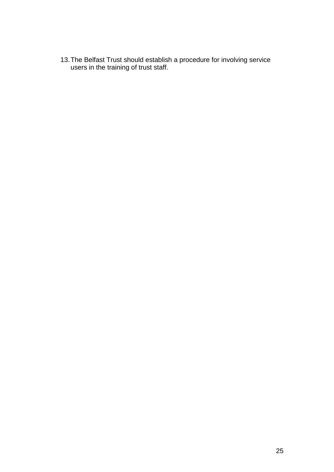13.The Belfast Trust should establish a procedure for involving service users in the training of trust staff.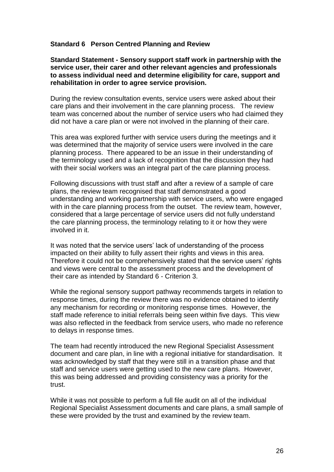### **Standard 6 Person Centred Planning and Review**

**Standard Statement - Sensory support staff work in partnership with the service user, their carer and other relevant agencies and professionals to assess individual need and determine eligibility for care, support and rehabilitation in order to agree service provision.**

During the review consultation events, service users were asked about their care plans and their involvement in the care planning process. The review team was concerned about the number of service users who had claimed they did not have a care plan or were not involved in the planning of their care.

This area was explored further with service users during the meetings and it was determined that the majority of service users were involved in the care planning process. There appeared to be an issue in their understanding of the terminology used and a lack of recognition that the discussion they had with their social workers was an integral part of the care planning process.

Following discussions with trust staff and after a review of a sample of care plans, the review team recognised that staff demonstrated a good understanding and working partnership with service users, who were engaged with in the care planning process from the outset. The review team, however, considered that a large percentage of service users did not fully understand the care planning process, the terminology relating to it or how they were involved in it.

It was noted that the service users' lack of understanding of the process impacted on their ability to fully assert their rights and views in this area. Therefore it could not be comprehensively stated that the service users' rights and views were central to the assessment process and the development of their care as intended by Standard 6 - Criterion 3.

While the regional sensory support pathway recommends targets in relation to response times, during the review there was no evidence obtained to identify any mechanism for recording or monitoring response times. However, the staff made reference to initial referrals being seen within five days. This view was also reflected in the feedback from service users, who made no reference to delays in response times.

The team had recently introduced the new Regional Specialist Assessment document and care plan, in line with a regional initiative for standardisation. It was acknowledged by staff that they were still in a transition phase and that staff and service users were getting used to the new care plans. However, this was being addressed and providing consistency was a priority for the trust.

While it was not possible to perform a full file audit on all of the individual Regional Specialist Assessment documents and care plans, a small sample of these were provided by the trust and examined by the review team.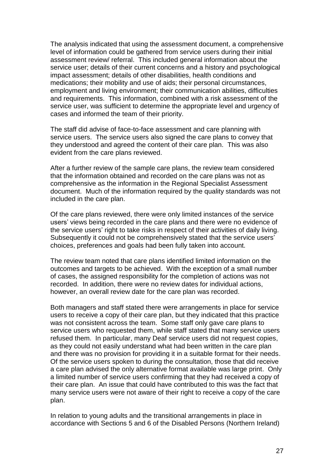The analysis indicated that using the assessment document, a comprehensive level of information could be gathered from service users during their initial assessment review/ referral. This included general information about the service user; details of their current concerns and a history and psychological impact assessment; details of other disabilities, health conditions and medications; their mobility and use of aids; their personal circumstances, employment and living environment; their communication abilities, difficulties and requirements. This information, combined with a risk assessment of the service user, was sufficient to determine the appropriate level and urgency of cases and informed the team of their priority.

The staff did advise of face-to-face assessment and care planning with service users. The service users also signed the care plans to convey that they understood and agreed the content of their care plan. This was also evident from the care plans reviewed.

After a further review of the sample care plans, the review team considered that the information obtained and recorded on the care plans was not as comprehensive as the information in the Regional Specialist Assessment document. Much of the information required by the quality standards was not included in the care plan.

Of the care plans reviewed, there were only limited instances of the service users' views being recorded in the care plans and there were no evidence of the service users' right to take risks in respect of their activities of daily living. Subsequently it could not be comprehensively stated that the service users' choices, preferences and goals had been fully taken into account.

The review team noted that care plans identified limited information on the outcomes and targets to be achieved. With the exception of a small number of cases, the assigned responsibility for the completion of actions was not recorded. In addition, there were no review dates for individual actions, however, an overall review date for the care plan was recorded.

Both managers and staff stated there were arrangements in place for service users to receive a copy of their care plan, but they indicated that this practice was not consistent across the team. Some staff only gave care plans to service users who requested them, while staff stated that many service users refused them. In particular, many Deaf service users did not request copies, as they could not easily understand what had been written in the care plan and there was no provision for providing it in a suitable format for their needs. Of the service users spoken to during the consultation, those that did receive a care plan advised the only alternative format available was large print. Only a limited number of service users confirming that they had received a copy of their care plan. An issue that could have contributed to this was the fact that many service users were not aware of their right to receive a copy of the care plan.

In relation to young adults and the transitional arrangements in place in accordance with Sections 5 and 6 of the Disabled Persons (Northern Ireland)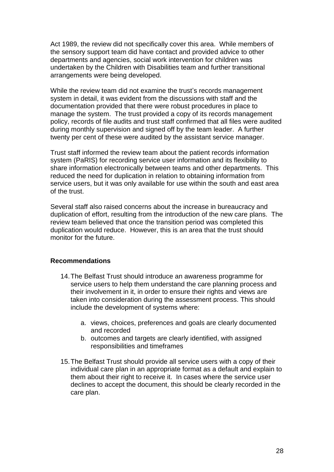Act 1989, the review did not specifically cover this area. While members of the sensory support team did have contact and provided advice to other departments and agencies, social work intervention for children was undertaken by the Children with Disabilities team and further transitional arrangements were being developed.

While the review team did not examine the trust's records management system in detail, it was evident from the discussions with staff and the documentation provided that there were robust procedures in place to manage the system. The trust provided a copy of its records management policy, records of file audits and trust staff confirmed that all files were audited during monthly supervision and signed off by the team leader. A further twenty per cent of these were audited by the assistant service manager.

Trust staff informed the review team about the patient records information system (PaRIS) for recording service user information and its flexibility to share information electronically between teams and other departments. This reduced the need for duplication in relation to obtaining information from service users, but it was only available for use within the south and east area of the trust.

Several staff also raised concerns about the increase in bureaucracy and duplication of effort, resulting from the introduction of the new care plans. The review team believed that once the transition period was completed this duplication would reduce. However, this is an area that the trust should monitor for the future.

### **Recommendations**

- 14.The Belfast Trust should introduce an awareness programme for service users to help them understand the care planning process and their involvement in it, in order to ensure their rights and views are taken into consideration during the assessment process. This should include the development of systems where:
	- a. views, choices, preferences and goals are clearly documented and recorded
	- b. outcomes and targets are clearly identified, with assigned responsibilities and timeframes
- 15.The Belfast Trust should provide all service users with a copy of their individual care plan in an appropriate format as a default and explain to them about their right to receive it. In cases where the service user declines to accept the document, this should be clearly recorded in the care plan.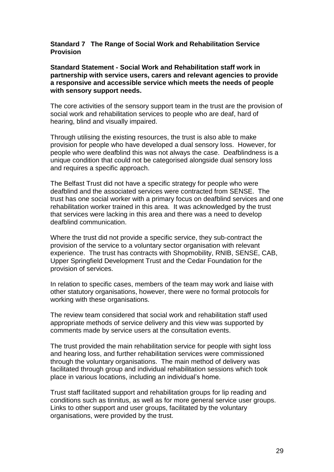#### **Standard 7 The Range of Social Work and Rehabilitation Service Provision**

**Standard Statement - Social Work and Rehabilitation staff work in partnership with service users, carers and relevant agencies to provide a responsive and accessible service which meets the needs of people with sensory support needs.**

The core activities of the sensory support team in the trust are the provision of social work and rehabilitation services to people who are deaf, hard of hearing, blind and visually impaired.

Through utilising the existing resources, the trust is also able to make provision for people who have developed a dual sensory loss. However, for people who were deafblind this was not always the case. Deafblindness is a unique condition that could not be categorised alongside dual sensory loss and requires a specific approach.

The Belfast Trust did not have a specific strategy for people who were deafblind and the associated services were contracted from SENSE. The trust has one social worker with a primary focus on deafblind services and one rehabilitation worker trained in this area. It was acknowledged by the trust that services were lacking in this area and there was a need to develop deafblind communication.

Where the trust did not provide a specific service, they sub-contract the provision of the service to a voluntary sector organisation with relevant experience. The trust has contracts with Shopmobility, RNIB, SENSE, CAB, Upper Springfield Development Trust and the Cedar Foundation for the provision of services.

In relation to specific cases, members of the team may work and liaise with other statutory organisations, however, there were no formal protocols for working with these organisations.

The review team considered that social work and rehabilitation staff used appropriate methods of service delivery and this view was supported by comments made by service users at the consultation events.

The trust provided the main rehabilitation service for people with sight loss and hearing loss, and further rehabilitation services were commissioned through the voluntary organisations. The main method of delivery was facilitated through group and individual rehabilitation sessions which took place in various locations, including an individual's home.

Trust staff facilitated support and rehabilitation groups for lip reading and conditions such as tinnitus, as well as for more general service user groups. Links to other support and user groups, facilitated by the voluntary organisations, were provided by the trust.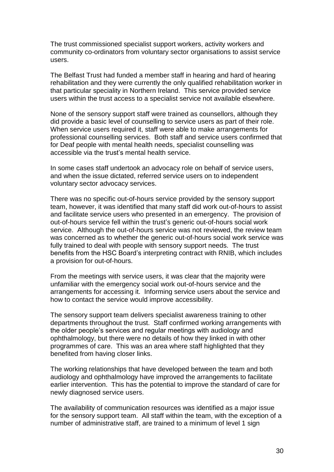The trust commissioned specialist support workers, activity workers and community co-ordinators from voluntary sector organisations to assist service users.

The Belfast Trust had funded a member staff in hearing and hard of hearing rehabilitation and they were currently the only qualified rehabilitation worker in that particular speciality in Northern Ireland. This service provided service users within the trust access to a specialist service not available elsewhere.

None of the sensory support staff were trained as counsellors, although they did provide a basic level of counselling to service users as part of their role. When service users required it, staff were able to make arrangements for professional counselling services. Both staff and service users confirmed that for Deaf people with mental health needs, specialist counselling was accessible via the trust's mental health service.

In some cases staff undertook an advocacy role on behalf of service users, and when the issue dictated, referred service users on to independent voluntary sector advocacy services.

There was no specific out-of-hours service provided by the sensory support team, however, it was identified that many staff did work out-of-hours to assist and facilitate service users who presented in an emergency. The provision of out-of-hours service fell within the trust's generic out-of-hours social work service. Although the out-of-hours service was not reviewed, the review team was concerned as to whether the generic out-of-hours social work service was fully trained to deal with people with sensory support needs. The trust benefits from the HSC Board's interpreting contract with RNIB, which includes a provision for out-of-hours.

From the meetings with service users, it was clear that the majority were unfamiliar with the emergency social work out-of-hours service and the arrangements for accessing it. Informing service users about the service and how to contact the service would improve accessibility.

The sensory support team delivers specialist awareness training to other departments throughout the trust. Staff confirmed working arrangements with the older people's services and regular meetings with audiology and ophthalmology, but there were no details of how they linked in with other programmes of care. This was an area where staff highlighted that they benefited from having closer links.

The working relationships that have developed between the team and both audiology and ophthalmology have improved the arrangements to facilitate earlier intervention. This has the potential to improve the standard of care for newly diagnosed service users.

The availability of communication resources was identified as a major issue for the sensory support team. All staff within the team, with the exception of a number of administrative staff, are trained to a minimum of level 1 sign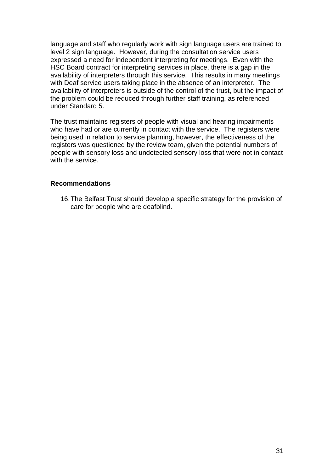language and staff who regularly work with sign language users are trained to level 2 sign language. However, during the consultation service users expressed a need for independent interpreting for meetings. Even with the HSC Board contract for interpreting services in place, there is a gap in the availability of interpreters through this service. This results in many meetings with Deaf service users taking place in the absence of an interpreter. The availability of interpreters is outside of the control of the trust, but the impact of the problem could be reduced through further staff training, as referenced under Standard 5.

The trust maintains registers of people with visual and hearing impairments who have had or are currently in contact with the service. The registers were being used in relation to service planning, however, the effectiveness of the registers was questioned by the review team, given the potential numbers of people with sensory loss and undetected sensory loss that were not in contact with the service.

### **Recommendations**

16.The Belfast Trust should develop a specific strategy for the provision of care for people who are deafblind.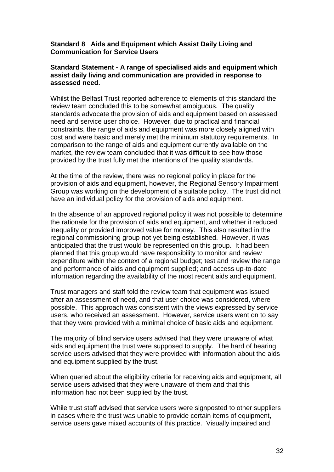### **Standard 8 Aids and Equipment which Assist Daily Living and Communication for Service Users**

#### **Standard Statement - A range of specialised aids and equipment which assist daily living and communication are provided in response to assessed need.**

Whilst the Belfast Trust reported adherence to elements of this standard the review team concluded this to be somewhat ambiguous. The quality standards advocate the provision of aids and equipment based on assessed need and service user choice. However, due to practical and financial constraints, the range of aids and equipment was more closely aligned with cost and were basic and merely met the minimum statutory requirements. In comparison to the range of aids and equipment currently available on the market, the review team concluded that it was difficult to see how those provided by the trust fully met the intentions of the quality standards.

At the time of the review, there was no regional policy in place for the provision of aids and equipment, however, the Regional Sensory Impairment Group was working on the development of a suitable policy. The trust did not have an individual policy for the provision of aids and equipment.

In the absence of an approved regional policy it was not possible to determine the rationale for the provision of aids and equipment, and whether it reduced inequality or provided improved value for money. This also resulted in the regional commissioning group not yet being established. However, it was anticipated that the trust would be represented on this group. It had been planned that this group would have responsibility to monitor and review expenditure within the context of a regional budget; test and review the range and performance of aids and equipment supplied; and access up-to-date information regarding the availability of the most recent aids and equipment.

Trust managers and staff told the review team that equipment was issued after an assessment of need, and that user choice was considered, where possible. This approach was consistent with the views expressed by service users, who received an assessment. However, service users went on to say that they were provided with a minimal choice of basic aids and equipment.

The majority of blind service users advised that they were unaware of what aids and equipment the trust were supposed to supply. The hard of hearing service users advised that they were provided with information about the aids and equipment supplied by the trust.

When queried about the eligibility criteria for receiving aids and equipment, all service users advised that they were unaware of them and that this information had not been supplied by the trust.

While trust staff advised that service users were signposted to other suppliers in cases where the trust was unable to provide certain items of equipment, service users gave mixed accounts of this practice. Visually impaired and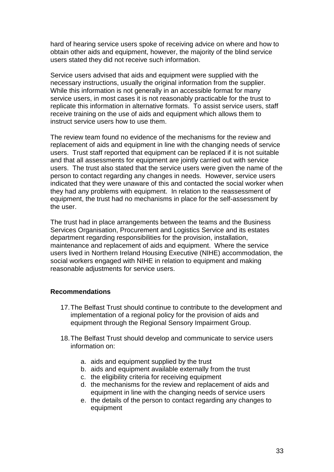hard of hearing service users spoke of receiving advice on where and how to obtain other aids and equipment, however, the majority of the blind service users stated they did not receive such information.

Service users advised that aids and equipment were supplied with the necessary instructions, usually the original information from the supplier. While this information is not generally in an accessible format for many service users, in most cases it is not reasonably practicable for the trust to replicate this information in alternative formats. To assist service users, staff receive training on the use of aids and equipment which allows them to instruct service users how to use them.

The review team found no evidence of the mechanisms for the review and replacement of aids and equipment in line with the changing needs of service users. Trust staff reported that equipment can be replaced if it is not suitable and that all assessments for equipment are jointly carried out with service users. The trust also stated that the service users were given the name of the person to contact regarding any changes in needs. However, service users indicated that they were unaware of this and contacted the social worker when they had any problems with equipment. In relation to the reassessment of equipment, the trust had no mechanisms in place for the self-assessment by the user.

The trust had in place arrangements between the teams and the Business Services Organisation, Procurement and Logistics Service and its estates department regarding responsibilities for the provision, installation, maintenance and replacement of aids and equipment. Where the service users lived in Northern Ireland Housing Executive (NIHE) accommodation, the social workers engaged with NIHE in relation to equipment and making reasonable adjustments for service users.

### **Recommendations**

- 17.The Belfast Trust should continue to contribute to the development and implementation of a regional policy for the provision of aids and equipment through the Regional Sensory Impairment Group.
- 18.The Belfast Trust should develop and communicate to service users information on:
	- a. aids and equipment supplied by the trust
	- b. aids and equipment available externally from the trust
	- c. the eligibility criteria for receiving equipment
	- d. the mechanisms for the review and replacement of aids and equipment in line with the changing needs of service users
	- e. the details of the person to contact regarding any changes to equipment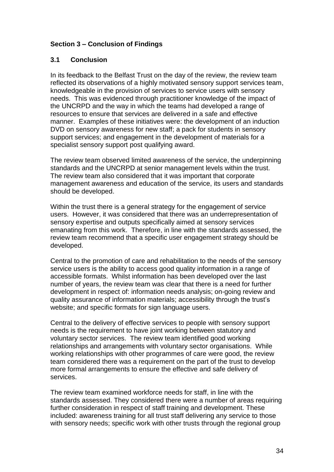# **Section 3 – Conclusion of Findings**

# **3.1 Conclusion**

In its feedback to the Belfast Trust on the day of the review, the review team reflected its observations of a highly motivated sensory support services team, knowledgeable in the provision of services to service users with sensory needs. This was evidenced through practitioner knowledge of the impact of the UNCRPD and the way in which the teams had developed a range of resources to ensure that services are delivered in a safe and effective manner. Examples of these initiatives were: the development of an induction DVD on sensory awareness for new staff; a pack for students in sensory support services; and engagement in the development of materials for a specialist sensory support post qualifying award.

The review team observed limited awareness of the service, the underpinning standards and the UNCRPD at senior management levels within the trust. The review team also considered that it was important that corporate management awareness and education of the service, its users and standards should be developed.

Within the trust there is a general strategy for the engagement of service users. However, it was considered that there was an underrepresentation of sensory expertise and outputs specifically aimed at sensory services emanating from this work. Therefore, in line with the standards assessed, the review team recommend that a specific user engagement strategy should be developed.

Central to the promotion of care and rehabilitation to the needs of the sensory service users is the ability to access good quality information in a range of accessible formats. Whilst information has been developed over the last number of years, the review team was clear that there is a need for further development in respect of: information needs analysis; on-going review and quality assurance of information materials; accessibility through the trust's website; and specific formats for sign language users.

Central to the delivery of effective services to people with sensory support needs is the requirement to have joint working between statutory and voluntary sector services. The review team identified good working relationships and arrangements with voluntary sector organisations. While working relationships with other programmes of care were good, the review team considered there was a requirement on the part of the trust to develop more formal arrangements to ensure the effective and safe delivery of services.

The review team examined workforce needs for staff, in line with the standards assessed. They considered there were a number of areas requiring further consideration in respect of staff training and development. These included: awareness training for all trust staff delivering any service to those with sensory needs; specific work with other trusts through the regional group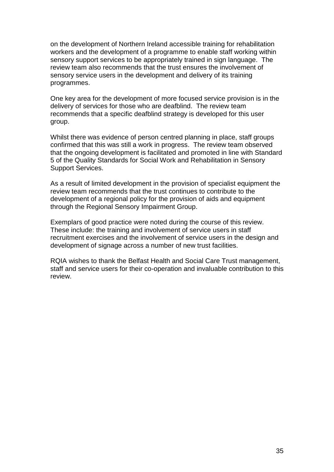on the development of Northern Ireland accessible training for rehabilitation workers and the development of a programme to enable staff working within sensory support services to be appropriately trained in sign language. The review team also recommends that the trust ensures the involvement of sensory service users in the development and delivery of its training programmes.

One key area for the development of more focused service provision is in the delivery of services for those who are deafblind. The review team recommends that a specific deafblind strategy is developed for this user group.

Whilst there was evidence of person centred planning in place, staff groups confirmed that this was still a work in progress. The review team observed that the ongoing development is facilitated and promoted in line with Standard 5 of the Quality Standards for Social Work and Rehabilitation in Sensory Support Services.

As a result of limited development in the provision of specialist equipment the review team recommends that the trust continues to contribute to the development of a regional policy for the provision of aids and equipment through the Regional Sensory Impairment Group.

Exemplars of good practice were noted during the course of this review. These include: the training and involvement of service users in staff recruitment exercises and the involvement of service users in the design and development of signage across a number of new trust facilities.

RQIA wishes to thank the Belfast Health and Social Care Trust management, staff and service users for their co-operation and invaluable contribution to this review.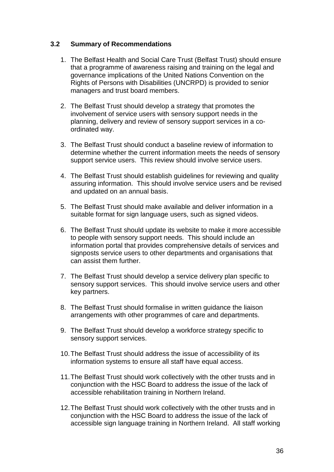## **3.2 Summary of Recommendations**

- 1. The Belfast Health and Social Care Trust (Belfast Trust) should ensure that a programme of awareness raising and training on the legal and governance implications of the United Nations Convention on the Rights of Persons with Disabilities (UNCRPD) is provided to senior managers and trust board members.
- 2. The Belfast Trust should develop a strategy that promotes the involvement of service users with sensory support needs in the planning, delivery and review of sensory support services in a coordinated way.
- 3. The Belfast Trust should conduct a baseline review of information to determine whether the current information meets the needs of sensory support service users. This review should involve service users.
- 4. The Belfast Trust should establish guidelines for reviewing and quality assuring information. This should involve service users and be revised and updated on an annual basis.
- 5. The Belfast Trust should make available and deliver information in a suitable format for sign language users, such as signed videos.
- 6. The Belfast Trust should update its website to make it more accessible to people with sensory support needs. This should include an information portal that provides comprehensive details of services and signposts service users to other departments and organisations that can assist them further.
- 7. The Belfast Trust should develop a service delivery plan specific to sensory support services. This should involve service users and other key partners.
- 8. The Belfast Trust should formalise in written guidance the liaison arrangements with other programmes of care and departments.
- 9. The Belfast Trust should develop a workforce strategy specific to sensory support services.
- 10.The Belfast Trust should address the issue of accessibility of its information systems to ensure all staff have equal access.
- 11.The Belfast Trust should work collectively with the other trusts and in conjunction with the HSC Board to address the issue of the lack of accessible rehabilitation training in Northern Ireland.
- 12.The Belfast Trust should work collectively with the other trusts and in conjunction with the HSC Board to address the issue of the lack of accessible sign language training in Northern Ireland. All staff working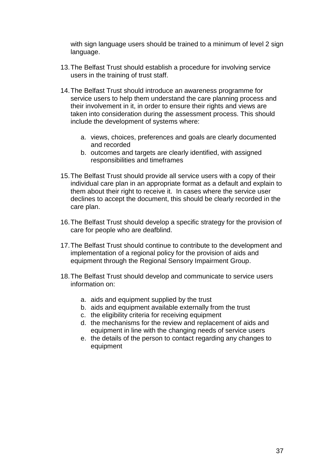with sign language users should be trained to a minimum of level 2 sign language.

- 13.The Belfast Trust should establish a procedure for involving service users in the training of trust staff.
- 14.The Belfast Trust should introduce an awareness programme for service users to help them understand the care planning process and their involvement in it, in order to ensure their rights and views are taken into consideration during the assessment process. This should include the development of systems where:
	- a. views, choices, preferences and goals are clearly documented and recorded
	- b. outcomes and targets are clearly identified, with assigned responsibilities and timeframes
- 15.The Belfast Trust should provide all service users with a copy of their individual care plan in an appropriate format as a default and explain to them about their right to receive it. In cases where the service user declines to accept the document, this should be clearly recorded in the care plan.
- 16.The Belfast Trust should develop a specific strategy for the provision of care for people who are deafblind.
- 17.The Belfast Trust should continue to contribute to the development and implementation of a regional policy for the provision of aids and equipment through the Regional Sensory Impairment Group.
- 18.The Belfast Trust should develop and communicate to service users information on:
	- a. aids and equipment supplied by the trust
	- b. aids and equipment available externally from the trust
	- c. the eligibility criteria for receiving equipment
	- d. the mechanisms for the review and replacement of aids and equipment in line with the changing needs of service users
	- e. the details of the person to contact regarding any changes to equipment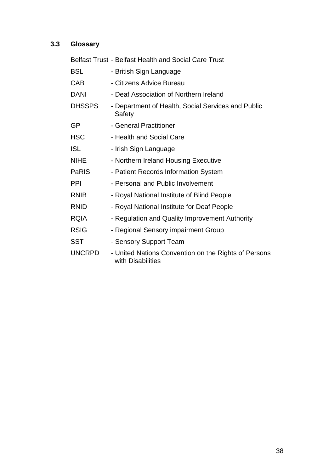# **3.3 Glossary**

|               | <b>Belfast Trust - Belfast Health and Social Care Trust</b>               |
|---------------|---------------------------------------------------------------------------|
| <b>BSL</b>    | - British Sign Language                                                   |
| <b>CAB</b>    | - Citizens Advice Bureau                                                  |
| <b>DANI</b>   | - Deaf Association of Northern Ireland                                    |
| <b>DHSSPS</b> | - Department of Health, Social Services and Public<br>Safety              |
| GP            | - General Practitioner                                                    |
| <b>HSC</b>    | - Health and Social Care                                                  |
| <b>ISL</b>    | - Irish Sign Language                                                     |
| <b>NIHE</b>   | - Northern Ireland Housing Executive                                      |
| PaRIS         | - Patient Records Information System                                      |
| <b>PPI</b>    | - Personal and Public Involvement                                         |
| <b>RNIB</b>   | - Royal National Institute of Blind People                                |
| <b>RNID</b>   | - Royal National Institute for Deaf People                                |
| <b>RQIA</b>   | - Regulation and Quality Improvement Authority                            |
| <b>RSIG</b>   | - Regional Sensory impairment Group                                       |
| <b>SST</b>    | - Sensory Support Team                                                    |
| <b>UNCRPD</b> | - United Nations Convention on the Rights of Persons<br>with Disabilities |